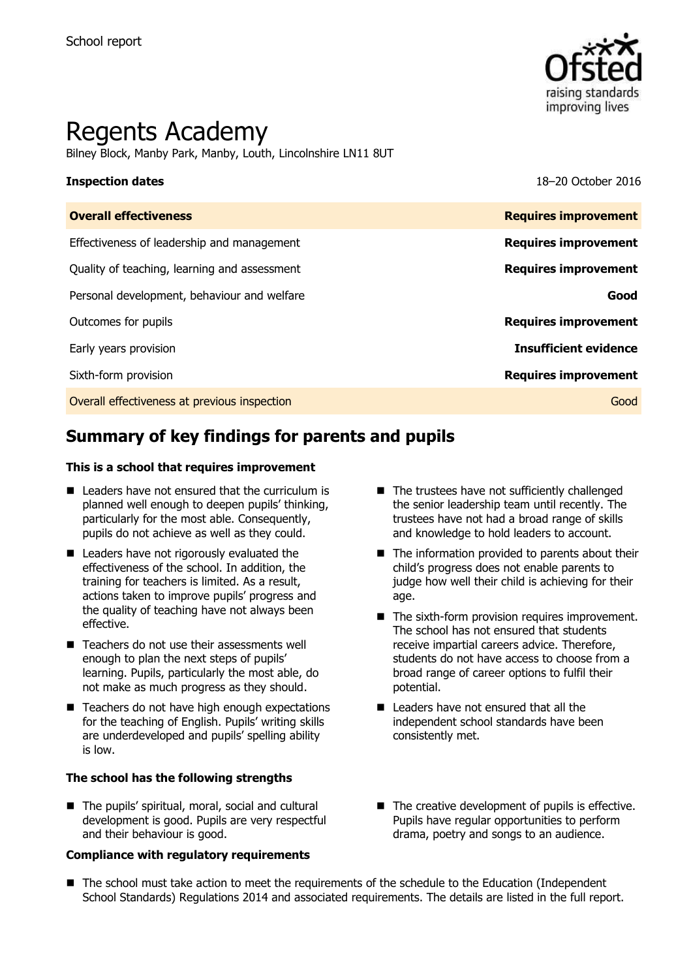

# Regents Academy

Bilney Block, Manby Park, Manby, Louth, Lincolnshire LN11 8UT

**Inspection dates** 18–20 October 2016

| <b>Overall effectiveness</b>                 | <b>Requires improvement</b>  |
|----------------------------------------------|------------------------------|
| Effectiveness of leadership and management   | <b>Requires improvement</b>  |
| Quality of teaching, learning and assessment | <b>Requires improvement</b>  |
| Personal development, behaviour and welfare  | Good                         |
| Outcomes for pupils                          | <b>Requires improvement</b>  |
| Early years provision                        | <b>Insufficient evidence</b> |
| Sixth-form provision                         | <b>Requires improvement</b>  |
| Overall effectiveness at previous inspection | Good                         |
|                                              |                              |

# **Summary of key findings for parents and pupils**

#### **This is a school that requires improvement**

- Leaders have not ensured that the curriculum is planned well enough to deepen pupils' thinking, particularly for the most able. Consequently, pupils do not achieve as well as they could.
- Leaders have not rigorously evaluated the effectiveness of the school. In addition, the training for teachers is limited. As a result, actions taken to improve pupils' progress and the quality of teaching have not always been effective.
- Teachers do not use their assessments well enough to plan the next steps of pupils' learning. Pupils, particularly the most able, do not make as much progress as they should.
- Teachers do not have high enough expectations for the teaching of English. Pupils' writing skills are underdeveloped and pupils' spelling ability is low.

#### **The school has the following strengths**

■ The pupils' spiritual, moral, social and cultural development is good. Pupils are very respectful and their behaviour is good.

#### **Compliance with regulatory requirements**

- The trustees have not sufficiently challenged the senior leadership team until recently. The trustees have not had a broad range of skills and knowledge to hold leaders to account.
- $\blacksquare$  The information provided to parents about their child's progress does not enable parents to judge how well their child is achieving for their age.
- The sixth-form provision requires improvement. The school has not ensured that students receive impartial careers advice. Therefore, students do not have access to choose from a broad range of career options to fulfil their potential.
- Leaders have not ensured that all the independent school standards have been consistently met.
- $\blacksquare$  The creative development of pupils is effective. Pupils have regular opportunities to perform drama, poetry and songs to an audience.
- The school must take action to meet the requirements of the schedule to the Education (Independent School Standards) Regulations 2014 and associated requirements. The details are listed in the full report.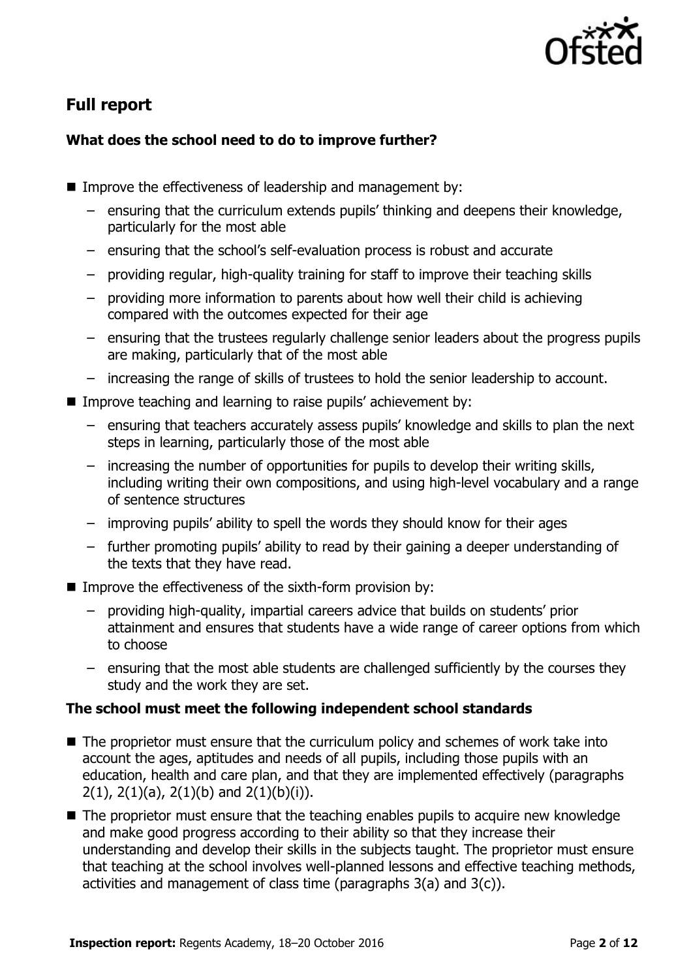

# **Full report**

### **What does the school need to do to improve further?**

- Improve the effectiveness of leadership and management by:
	- ensuring that the curriculum extends pupils' thinking and deepens their knowledge, particularly for the most able
	- ensuring that the school's self-evaluation process is robust and accurate
	- providing regular, high-quality training for staff to improve their teaching skills
	- providing more information to parents about how well their child is achieving compared with the outcomes expected for their age
	- ensuring that the trustees regularly challenge senior leaders about the progress pupils are making, particularly that of the most able
	- increasing the range of skills of trustees to hold the senior leadership to account.
- **IMPROVE THEORY IMM** Improve teaching and learning to raise pupils' achievement by:
	- ensuring that teachers accurately assess pupils' knowledge and skills to plan the next steps in learning, particularly those of the most able
	- increasing the number of opportunities for pupils to develop their writing skills, including writing their own compositions, and using high-level vocabulary and a range of sentence structures
	- improving pupils' ability to spell the words they should know for their ages
	- further promoting pupils' ability to read by their gaining a deeper understanding of the texts that they have read.
- Improve the effectiveness of the sixth-form provision by:
	- providing high-quality, impartial careers advice that builds on students' prior attainment and ensures that students have a wide range of career options from which to choose
	- ensuring that the most able students are challenged sufficiently by the courses they study and the work they are set.

### **The school must meet the following independent school standards**

- The proprietor must ensure that the curriculum policy and schemes of work take into account the ages, aptitudes and needs of all pupils, including those pupils with an education, health and care plan, and that they are implemented effectively (paragraphs  $2(1)$ ,  $2(1)(a)$ ,  $2(1)(b)$  and  $2(1)(b)(i)$ ).
- $\blacksquare$  The proprietor must ensure that the teaching enables pupils to acquire new knowledge and make good progress according to their ability so that they increase their understanding and develop their skills in the subjects taught. The proprietor must ensure that teaching at the school involves well-planned lessons and effective teaching methods, activities and management of class time (paragraphs 3(a) and 3(c)).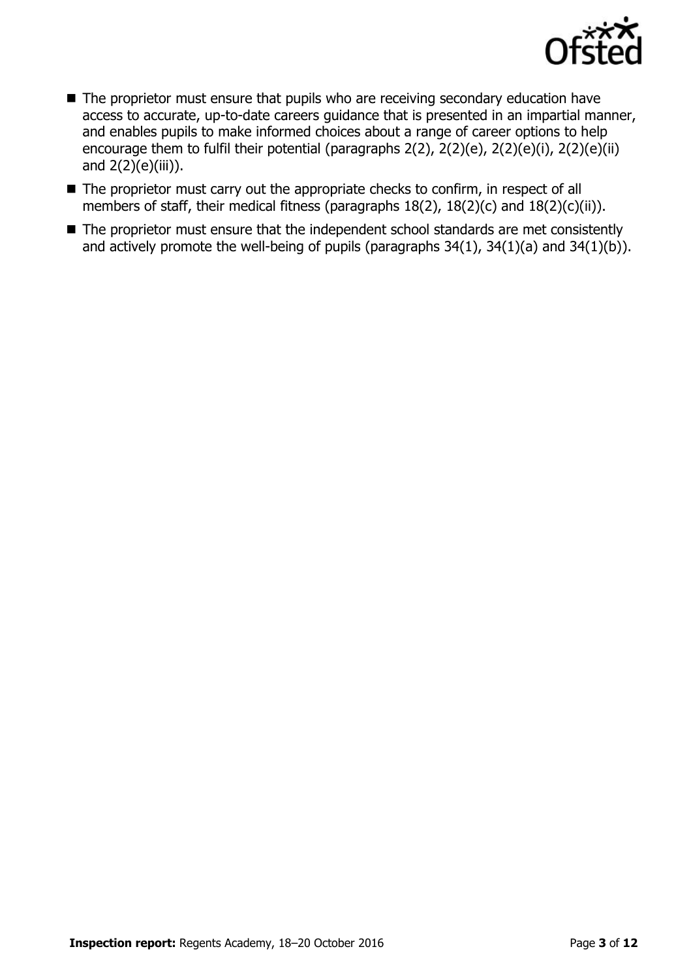

- The proprietor must ensure that pupils who are receiving secondary education have access to accurate, up-to-date careers guidance that is presented in an impartial manner, and enables pupils to make informed choices about a range of career options to help encourage them to fulfil their potential (paragraphs 2(2), 2(2)(e), 2(2)(e)(i), 2(2)(e)(ii) and 2(2)(e)(iii)).
- The proprietor must carry out the appropriate checks to confirm, in respect of all members of staff, their medical fitness (paragraphs 18(2), 18(2)(c) and 18(2)(c)(ii)).
- The proprietor must ensure that the independent school standards are met consistently and actively promote the well-being of pupils (paragraphs 34(1), 34(1)(a) and 34(1)(b)).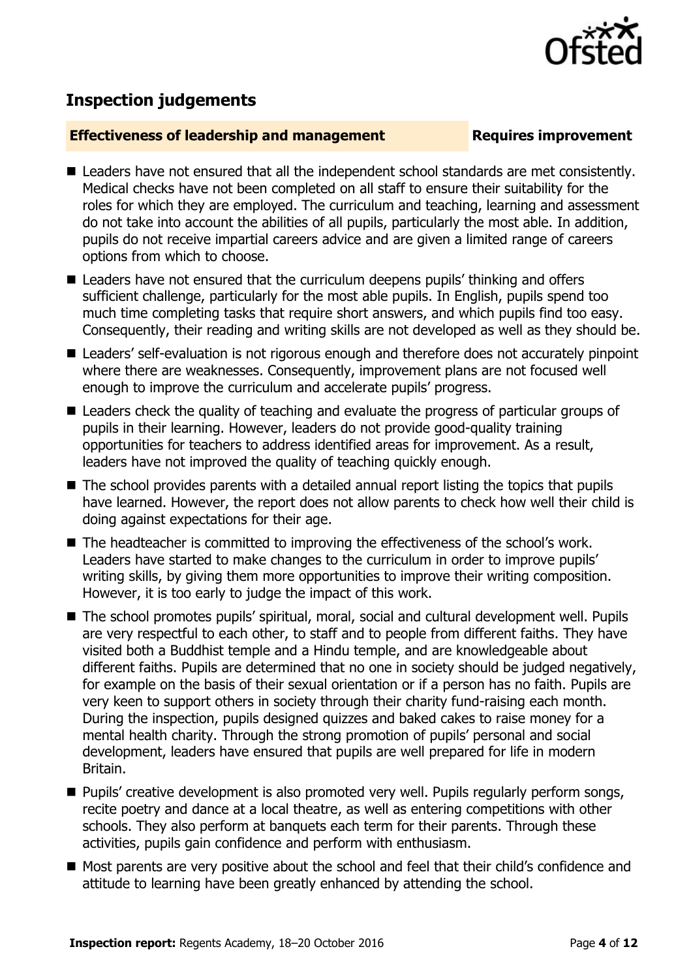

# **Inspection judgements**

#### **Effectiveness of leadership and management Requires improvement**

- Leaders have not ensured that all the independent school standards are met consistently. Medical checks have not been completed on all staff to ensure their suitability for the roles for which they are employed. The curriculum and teaching, learning and assessment do not take into account the abilities of all pupils, particularly the most able. In addition, pupils do not receive impartial careers advice and are given a limited range of careers options from which to choose.
- Leaders have not ensured that the curriculum deepens pupils' thinking and offers sufficient challenge, particularly for the most able pupils. In English, pupils spend too much time completing tasks that require short answers, and which pupils find too easy. Consequently, their reading and writing skills are not developed as well as they should be.
- Leaders' self-evaluation is not rigorous enough and therefore does not accurately pinpoint where there are weaknesses. Consequently, improvement plans are not focused well enough to improve the curriculum and accelerate pupils' progress.
- Leaders check the quality of teaching and evaluate the progress of particular groups of pupils in their learning. However, leaders do not provide good-quality training opportunities for teachers to address identified areas for improvement. As a result, leaders have not improved the quality of teaching quickly enough.
- The school provides parents with a detailed annual report listing the topics that pupils have learned. However, the report does not allow parents to check how well their child is doing against expectations for their age.
- The headteacher is committed to improving the effectiveness of the school's work. Leaders have started to make changes to the curriculum in order to improve pupils' writing skills, by giving them more opportunities to improve their writing composition. However, it is too early to judge the impact of this work.
- The school promotes pupils' spiritual, moral, social and cultural development well. Pupils are very respectful to each other, to staff and to people from different faiths. They have visited both a Buddhist temple and a Hindu temple, and are knowledgeable about different faiths. Pupils are determined that no one in society should be judged negatively, for example on the basis of their sexual orientation or if a person has no faith. Pupils are very keen to support others in society through their charity fund-raising each month. During the inspection, pupils designed quizzes and baked cakes to raise money for a mental health charity. Through the strong promotion of pupils' personal and social development, leaders have ensured that pupils are well prepared for life in modern Britain.
- **Pupils'** creative development is also promoted very well. Pupils regularly perform songs, recite poetry and dance at a local theatre, as well as entering competitions with other schools. They also perform at banquets each term for their parents. Through these activities, pupils gain confidence and perform with enthusiasm.
- Most parents are very positive about the school and feel that their child's confidence and attitude to learning have been greatly enhanced by attending the school.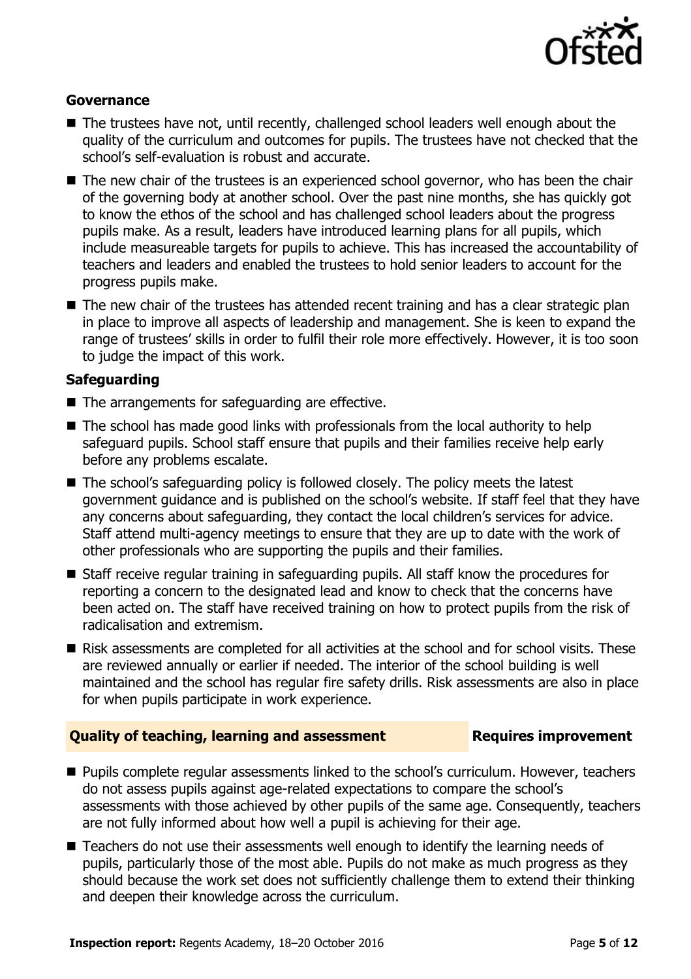

#### **Governance**

- The trustees have not, until recently, challenged school leaders well enough about the quality of the curriculum and outcomes for pupils. The trustees have not checked that the school's self-evaluation is robust and accurate.
- The new chair of the trustees is an experienced school governor, who has been the chair of the governing body at another school. Over the past nine months, she has quickly got to know the ethos of the school and has challenged school leaders about the progress pupils make. As a result, leaders have introduced learning plans for all pupils, which include measureable targets for pupils to achieve. This has increased the accountability of teachers and leaders and enabled the trustees to hold senior leaders to account for the progress pupils make.
- The new chair of the trustees has attended recent training and has a clear strategic plan in place to improve all aspects of leadership and management. She is keen to expand the range of trustees' skills in order to fulfil their role more effectively. However, it is too soon to judge the impact of this work.

#### **Safeguarding**

- $\blacksquare$  The arrangements for safeguarding are effective.
- $\blacksquare$  The school has made good links with professionals from the local authority to help safeguard pupils. School staff ensure that pupils and their families receive help early before any problems escalate.
- The school's safeguarding policy is followed closely. The policy meets the latest government guidance and is published on the school's website. If staff feel that they have any concerns about safeguarding, they contact the local children's services for advice. Staff attend multi-agency meetings to ensure that they are up to date with the work of other professionals who are supporting the pupils and their families.
- Staff receive regular training in safeguarding pupils. All staff know the procedures for reporting a concern to the designated lead and know to check that the concerns have been acted on. The staff have received training on how to protect pupils from the risk of radicalisation and extremism.
- Risk assessments are completed for all activities at the school and for school visits. These are reviewed annually or earlier if needed. The interior of the school building is well maintained and the school has regular fire safety drills. Risk assessments are also in place for when pupils participate in work experience.

#### **Quality of teaching, learning and assessment Fig. 2.1 Requires improvement**

- **Pupils complete regular assessments linked to the school's curriculum. However, teachers** do not assess pupils against age-related expectations to compare the school's assessments with those achieved by other pupils of the same age. Consequently, teachers are not fully informed about how well a pupil is achieving for their age.
- Teachers do not use their assessments well enough to identify the learning needs of pupils, particularly those of the most able. Pupils do not make as much progress as they should because the work set does not sufficiently challenge them to extend their thinking and deepen their knowledge across the curriculum.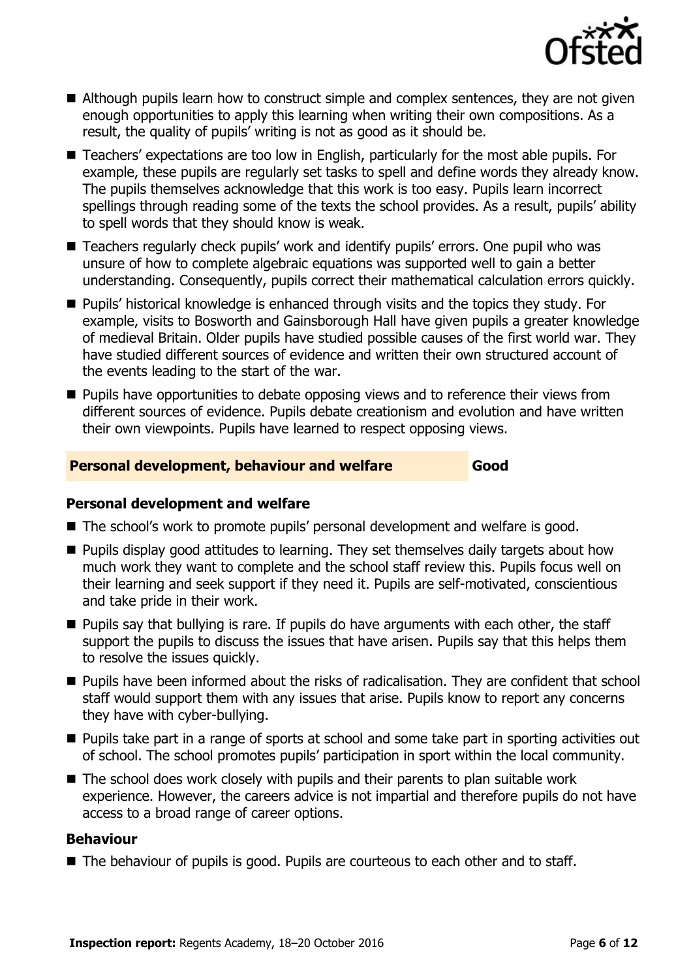

- Although pupils learn how to construct simple and complex sentences, they are not given enough opportunities to apply this learning when writing their own compositions. As a result, the quality of pupils' writing is not as good as it should be.
- Teachers' expectations are too low in English, particularly for the most able pupils. For example, these pupils are regularly set tasks to spell and define words they already know. The pupils themselves acknowledge that this work is too easy. Pupils learn incorrect spellings through reading some of the texts the school provides. As a result, pupils' ability to spell words that they should know is weak.
- Teachers regularly check pupils' work and identify pupils' errors. One pupil who was unsure of how to complete algebraic equations was supported well to gain a better understanding. Consequently, pupils correct their mathematical calculation errors quickly.
- Pupils' historical knowledge is enhanced through visits and the topics they study. For example, visits to Bosworth and Gainsborough Hall have given pupils a greater knowledge of medieval Britain. Older pupils have studied possible causes of the first world war. They have studied different sources of evidence and written their own structured account of the events leading to the start of the war.
- **Pupils have opportunities to debate opposing views and to reference their views from** different sources of evidence. Pupils debate creationism and evolution and have written their own viewpoints. Pupils have learned to respect opposing views.

#### **Personal development, behaviour and welfare Good**

#### **Personal development and welfare**

- The school's work to promote pupils' personal development and welfare is good.
- **Pupils display good attitudes to learning. They set themselves daily targets about how** much work they want to complete and the school staff review this. Pupils focus well on their learning and seek support if they need it. Pupils are self-motivated, conscientious and take pride in their work.
- $\blacksquare$  Pupils say that bullying is rare. If pupils do have arguments with each other, the staff support the pupils to discuss the issues that have arisen. Pupils say that this helps them to resolve the issues quickly.
- **Pupils have been informed about the risks of radicalisation. They are confident that school** staff would support them with any issues that arise. Pupils know to report any concerns they have with cyber-bullying.
- **Pupils take part in a range of sports at school and some take part in sporting activities out** of school. The school promotes pupils' participation in sport within the local community.
- $\blacksquare$  The school does work closely with pupils and their parents to plan suitable work experience. However, the careers advice is not impartial and therefore pupils do not have access to a broad range of career options.

### **Behaviour**

■ The behaviour of pupils is good. Pupils are courteous to each other and to staff.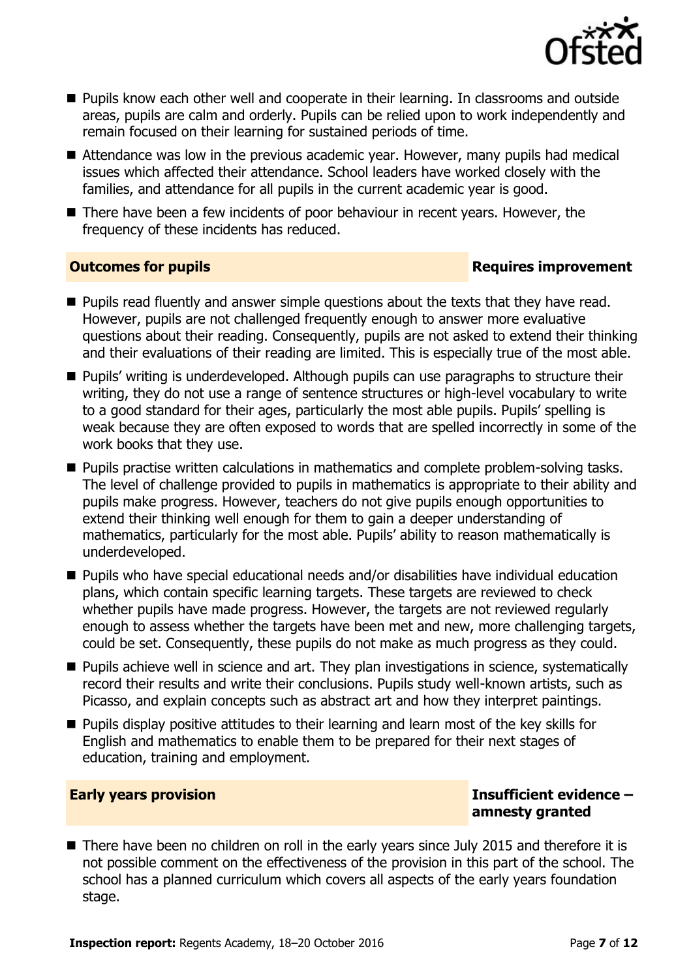

- **Pupils know each other well and cooperate in their learning. In classrooms and outside** areas, pupils are calm and orderly. Pupils can be relied upon to work independently and remain focused on their learning for sustained periods of time.
- Attendance was low in the previous academic year. However, many pupils had medical issues which affected their attendance. School leaders have worked closely with the families, and attendance for all pupils in the current academic year is good.
- There have been a few incidents of poor behaviour in recent years. However, the frequency of these incidents has reduced.

### **Outcomes for pupils Requires improvement**

- **Pupils read fluently and answer simple questions about the texts that they have read.** However, pupils are not challenged frequently enough to answer more evaluative questions about their reading. Consequently, pupils are not asked to extend their thinking and their evaluations of their reading are limited. This is especially true of the most able.
- **Pupils' writing is underdeveloped. Although pupils can use paragraphs to structure their** writing, they do not use a range of sentence structures or high-level vocabulary to write to a good standard for their ages, particularly the most able pupils. Pupils' spelling is weak because they are often exposed to words that are spelled incorrectly in some of the work books that they use.
- **Pupils practise written calculations in mathematics and complete problem-solving tasks.** The level of challenge provided to pupils in mathematics is appropriate to their ability and pupils make progress. However, teachers do not give pupils enough opportunities to extend their thinking well enough for them to gain a deeper understanding of mathematics, particularly for the most able. Pupils' ability to reason mathematically is underdeveloped.
- Pupils who have special educational needs and/or disabilities have individual education plans, which contain specific learning targets. These targets are reviewed to check whether pupils have made progress. However, the targets are not reviewed regularly enough to assess whether the targets have been met and new, more challenging targets, could be set. Consequently, these pupils do not make as much progress as they could.
- **Pupils achieve well in science and art. They plan investigations in science, systematically** record their results and write their conclusions. Pupils study well-known artists, such as Picasso, and explain concepts such as abstract art and how they interpret paintings.
- **Pupils display positive attitudes to their learning and learn most of the key skills for** English and mathematics to enable them to be prepared for their next stages of education, training and employment.

### **Early years provision Insufficient evidence – amnesty granted**

■ There have been no children on roll in the early years since July 2015 and therefore it is not possible comment on the effectiveness of the provision in this part of the school. The school has a planned curriculum which covers all aspects of the early years foundation stage.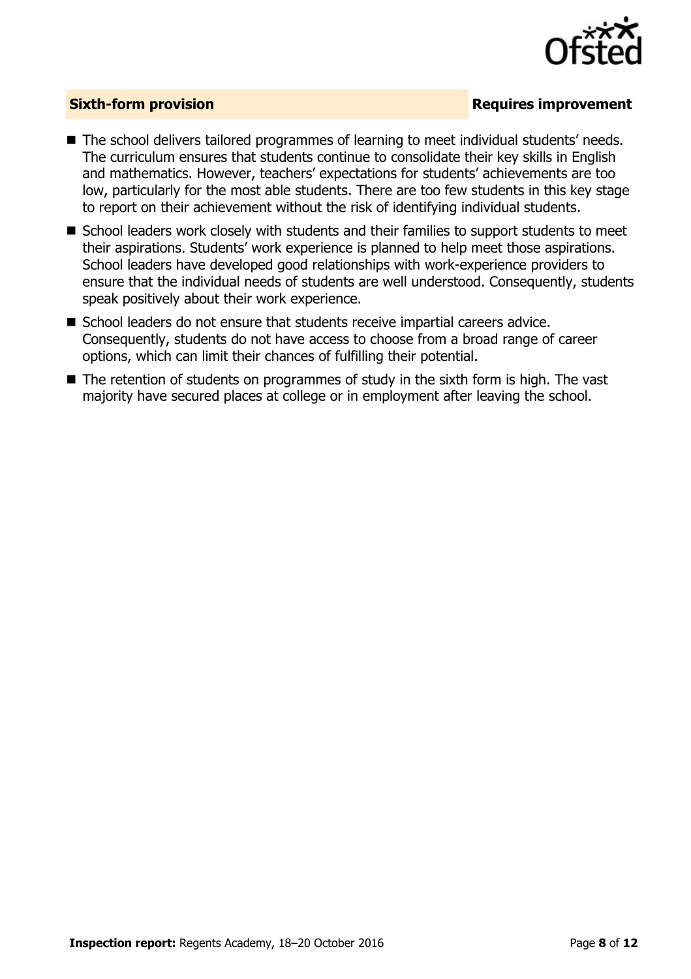

### **Sixth-form provision Requires improvement**

- The school delivers tailored programmes of learning to meet individual students' needs. The curriculum ensures that students continue to consolidate their key skills in English and mathematics. However, teachers' expectations for students' achievements are too low, particularly for the most able students. There are too few students in this key stage to report on their achievement without the risk of identifying individual students.
- School leaders work closely with students and their families to support students to meet their aspirations. Students' work experience is planned to help meet those aspirations. School leaders have developed good relationships with work-experience providers to ensure that the individual needs of students are well understood. Consequently, students speak positively about their work experience.
- School leaders do not ensure that students receive impartial careers advice. Consequently, students do not have access to choose from a broad range of career options, which can limit their chances of fulfilling their potential.
- The retention of students on programmes of study in the sixth form is high. The vast majority have secured places at college or in employment after leaving the school.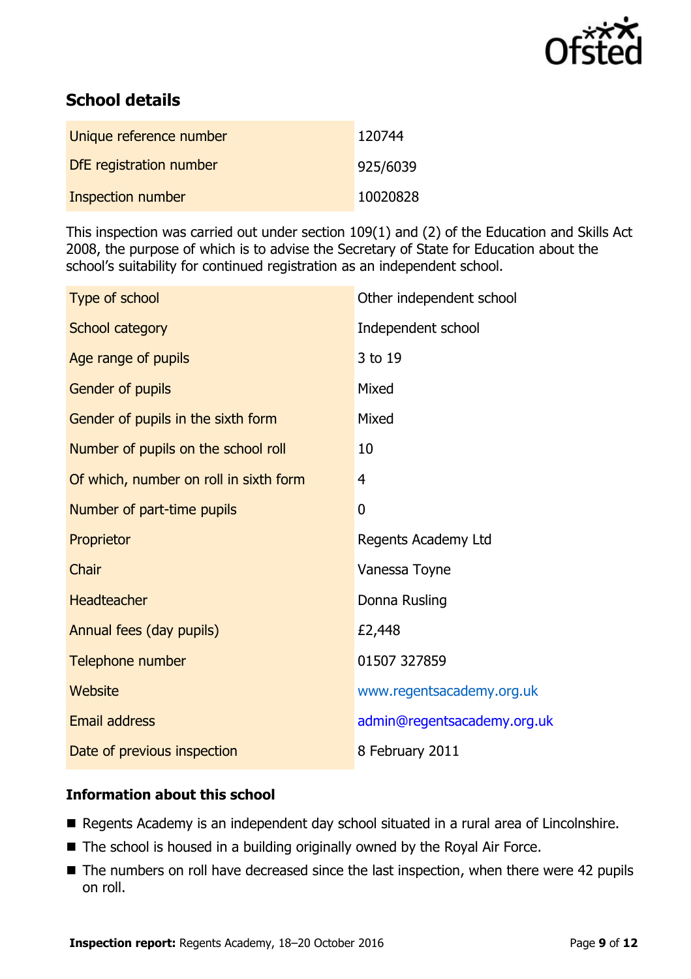

# **School details**

| Unique reference number | 120744   |
|-------------------------|----------|
| DfE registration number | 925/6039 |
| Inspection number       | 10020828 |

This inspection was carried out under section 109(1) and (2) of the Education and Skills Act 2008, the purpose of which is to advise the Secretary of State for Education about the school's suitability for continued registration as an independent school.

| Type of school                         | Other independent school    |
|----------------------------------------|-----------------------------|
| School category                        | Independent school          |
| Age range of pupils                    | 3 to 19                     |
| Gender of pupils                       | Mixed                       |
| Gender of pupils in the sixth form     | Mixed                       |
| Number of pupils on the school roll    | 10                          |
| Of which, number on roll in sixth form | 4                           |
| Number of part-time pupils             | $\overline{0}$              |
| Proprietor                             | Regents Academy Ltd         |
| Chair                                  | Vanessa Toyne               |
| Headteacher                            | Donna Rusling               |
| Annual fees (day pupils)               | £2,448                      |
| Telephone number                       | 01507 327859                |
| Website                                | www.regentsacademy.org.uk   |
| <b>Email address</b>                   | admin@regentsacademy.org.uk |
| Date of previous inspection            | 8 February 2011             |

### **Information about this school**

- Regents Academy is an independent day school situated in a rural area of Lincolnshire.
- The school is housed in a building originally owned by the Royal Air Force.
- The numbers on roll have decreased since the last inspection, when there were 42 pupils on roll.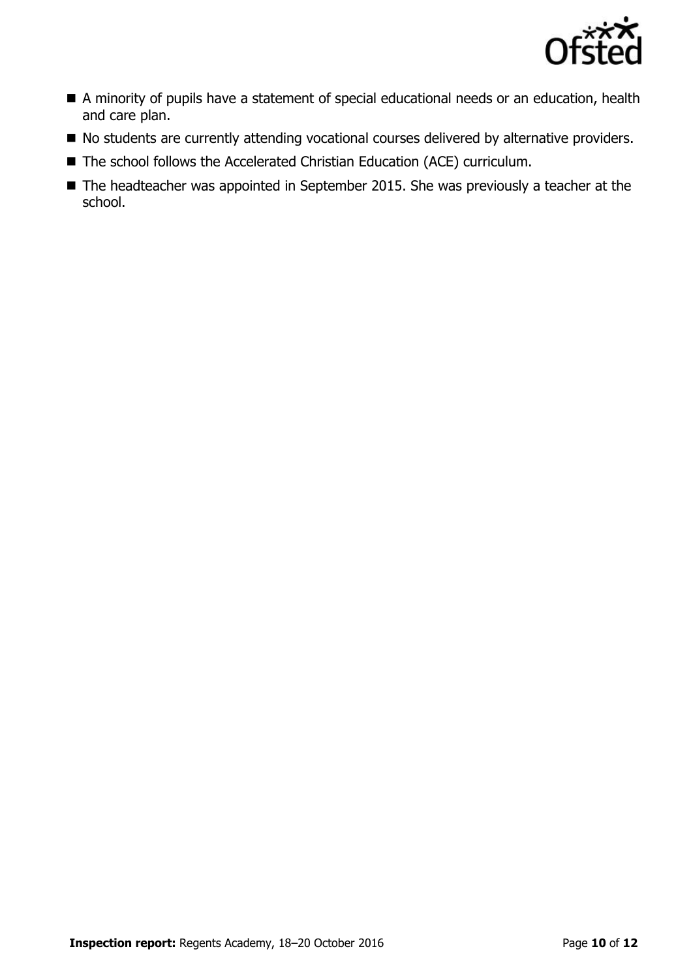

- A minority of pupils have a statement of special educational needs or an education, health and care plan.
- $\blacksquare$  No students are currently attending vocational courses delivered by alternative providers.
- The school follows the Accelerated Christian Education (ACE) curriculum.
- The headteacher was appointed in September 2015. She was previously a teacher at the school.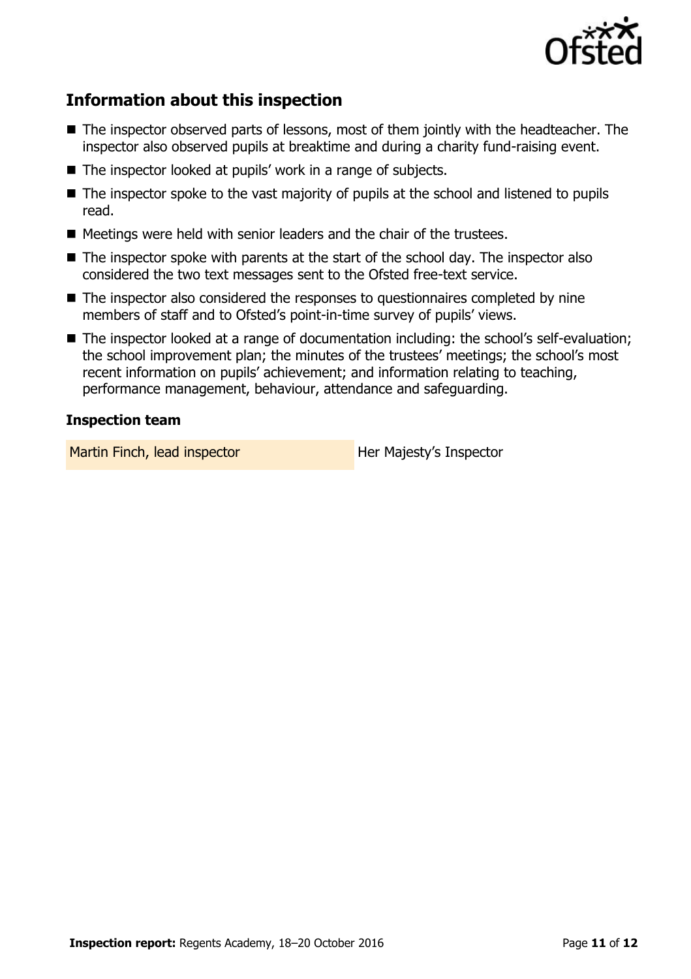

# **Information about this inspection**

- The inspector observed parts of lessons, most of them jointly with the headteacher. The inspector also observed pupils at breaktime and during a charity fund-raising event.
- The inspector looked at pupils' work in a range of subjects.
- The inspector spoke to the vast majority of pupils at the school and listened to pupils read.
- Meetings were held with senior leaders and the chair of the trustees.
- The inspector spoke with parents at the start of the school day. The inspector also considered the two text messages sent to the Ofsted free-text service.
- The inspector also considered the responses to questionnaires completed by nine members of staff and to Ofsted's point-in-time survey of pupils' views.
- The inspector looked at a range of documentation including: the school's self-evaluation; the school improvement plan; the minutes of the trustees' meetings; the school's most recent information on pupils' achievement; and information relating to teaching, performance management, behaviour, attendance and safeguarding.

#### **Inspection team**

Martin Finch, lead inspector **Her Majesty's Inspector**